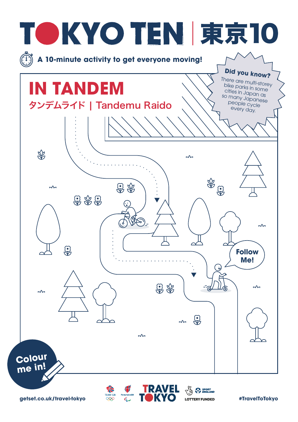